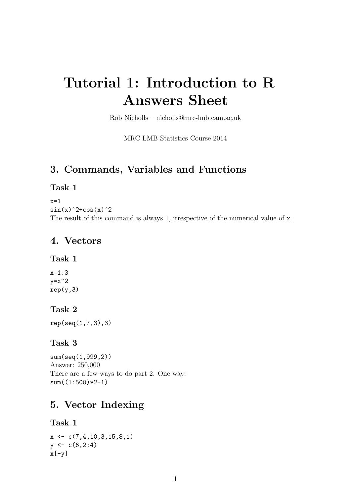# Tutorial 1: Introduction to R Answers Sheet

Rob Nicholls – nicholls@mrc-lmb.cam.ac.uk

MRC LMB Statistics Course 2014

### 3. Commands, Variables and Functions

#### Task 1

 $x=1$  $sin(x)^2+cos(x)^2$ The result of this command is always 1, irrespective of the numerical value of x.

### 4. Vectors

#### Task 1

x=1:3  $v=x^2$  $rep(y,3)$ 

#### Task 2

rep(seq(1,7,3),3)

#### Task 3

sum(seq(1,999,2)) Answer: 250,000 There are a few ways to do part 2. One way:  $sum((1:500)*2-1)$ 

## 5. Vector Indexing

#### Task 1

 $x \leftarrow c(7, 4, 10, 3, 15, 8, 1)$  $y \leftarrow c(6, 2:4)$  $x[-y]$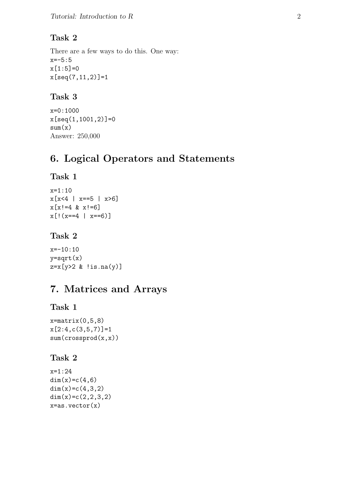### Task 2

There are a few ways to do this. One way:  $x=-5:5$  $x[1:5]=0$ x[seq(7,11,2)]=1

### Task 3

```
x=0:1000
x[seq(1,1001,2)]=0
sum(x)Answer: 250,000
```
## 6. Logical Operators and Statements

### Task 1

```
x=1:10
x[x<4 | x==5 | x>6]x[x!=4 \& x!=6]x[!(x==4 | x==6)]
```
## Task 2

x=-10:10  $y=sqrt(x)$ z=x[y>2 & !is.na(y)]

## 7. Matrices and Arrays

## Task 1

```
x = matrix(0, 5, 8)x[2:4,c(3,5,7)]=1sum(crossprod(x,x))
```
### Task 2

```
x=1:24
dim(x)=c(4,6)dim(x)=c(4,3,2)dim(x)=c(2,2,3,2)x = as.vector(x)
```